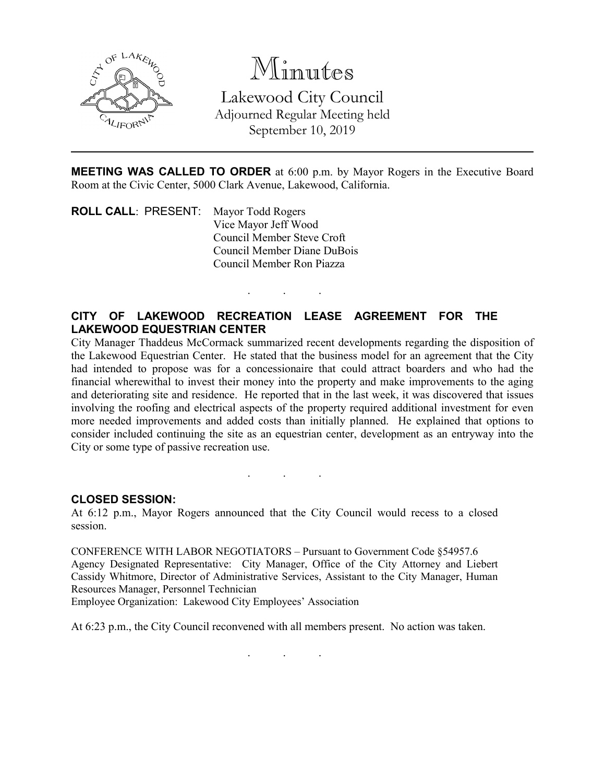

Minutes Lakewood City Council Adjourned Regular Meeting held September 10, 2019

**MEETING WAS CALLED TO ORDER** at 6:00 p.m. by Mayor Rogers in the Executive Board Room at the Civic Center, 5000 Clark Avenue, Lakewood, California.

**ROLL CALL**: PRESENT: Mayor Todd Rogers Vice Mayor Jeff Wood Council Member Steve Croft Council Member Diane DuBois Council Member Ron Piazza

# **CITY OF LAKEWOOD RECREATION LEASE AGREEMENT FOR THE LAKEWOOD EQUESTRIAN CENTER**

. . .

City Manager Thaddeus McCormack summarized recent developments regarding the disposition of the Lakewood Equestrian Center. He stated that the business model for an agreement that the City had intended to propose was for a concessionaire that could attract boarders and who had the financial wherewithal to invest their money into the property and make improvements to the aging and deteriorating site and residence. He reported that in the last week, it was discovered that issues involving the roofing and electrical aspects of the property required additional investment for even more needed improvements and added costs than initially planned. He explained that options to consider included continuing the site as an equestrian center, development as an entryway into the City or some type of passive recreation use.

. . .

#### **CLOSED SESSION:**

At 6:12 p.m., Mayor Rogers announced that the City Council would recess to a closed session.

CONFERENCE WITH LABOR NEGOTIATORS – Pursuant to Government Code §54957.6 Agency Designated Representative: City Manager, Office of the City Attorney and Liebert Cassidy Whitmore, Director of Administrative Services, Assistant to the City Manager, Human Resources Manager, Personnel Technician

Employee Organization: Lakewood City Employees' Association

At 6:23 p.m., the City Council reconvened with all members present. No action was taken.

. . .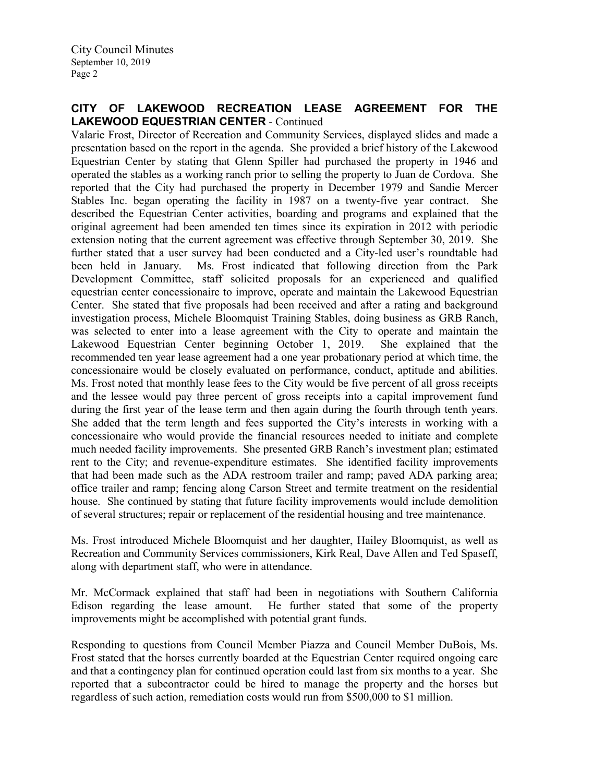Valarie Frost, Director of Recreation and Community Services, displayed slides and made a presentation based on the report in the agenda. She provided a brief history of the Lakewood Equestrian Center by stating that Glenn Spiller had purchased the property in 1946 and operated the stables as a working ranch prior to selling the property to Juan de Cordova. She reported that the City had purchased the property in December 1979 and Sandie Mercer Stables Inc. began operating the facility in 1987 on a twenty-five year contract. She described the Equestrian Center activities, boarding and programs and explained that the original agreement had been amended ten times since its expiration in 2012 with periodic extension noting that the current agreement was effective through September 30, 2019. She further stated that a user survey had been conducted and a City-led user's roundtable had been held in January. Ms. Frost indicated that following direction from the Park Development Committee, staff solicited proposals for an experienced and qualified equestrian center concessionaire to improve, operate and maintain the Lakewood Equestrian Center. She stated that five proposals had been received and after a rating and background investigation process, Michele Bloomquist Training Stables, doing business as GRB Ranch, was selected to enter into a lease agreement with the City to operate and maintain the Lakewood Equestrian Center beginning October 1, 2019. She explained that the recommended ten year lease agreement had a one year probationary period at which time, the concessionaire would be closely evaluated on performance, conduct, aptitude and abilities. Ms. Frost noted that monthly lease fees to the City would be five percent of all gross receipts and the lessee would pay three percent of gross receipts into a capital improvement fund during the first year of the lease term and then again during the fourth through tenth years. She added that the term length and fees supported the City's interests in working with a concessionaire who would provide the financial resources needed to initiate and complete much needed facility improvements. She presented GRB Ranch's investment plan; estimated rent to the City; and revenue-expenditure estimates. She identified facility improvements that had been made such as the ADA restroom trailer and ramp; paved ADA parking area; office trailer and ramp; fencing along Carson Street and termite treatment on the residential house. She continued by stating that future facility improvements would include demolition of several structures; repair or replacement of the residential housing and tree maintenance.

Ms. Frost introduced Michele Bloomquist and her daughter, Hailey Bloomquist, as well as Recreation and Community Services commissioners, Kirk Real, Dave Allen and Ted Spaseff, along with department staff, who were in attendance.

Mr. McCormack explained that staff had been in negotiations with Southern California Edison regarding the lease amount. He further stated that some of the property improvements might be accomplished with potential grant funds.

Responding to questions from Council Member Piazza and Council Member DuBois, Ms. Frost stated that the horses currently boarded at the Equestrian Center required ongoing care and that a contingency plan for continued operation could last from six months to a year. She reported that a subcontractor could be hired to manage the property and the horses but regardless of such action, remediation costs would run from \$500,000 to \$1 million.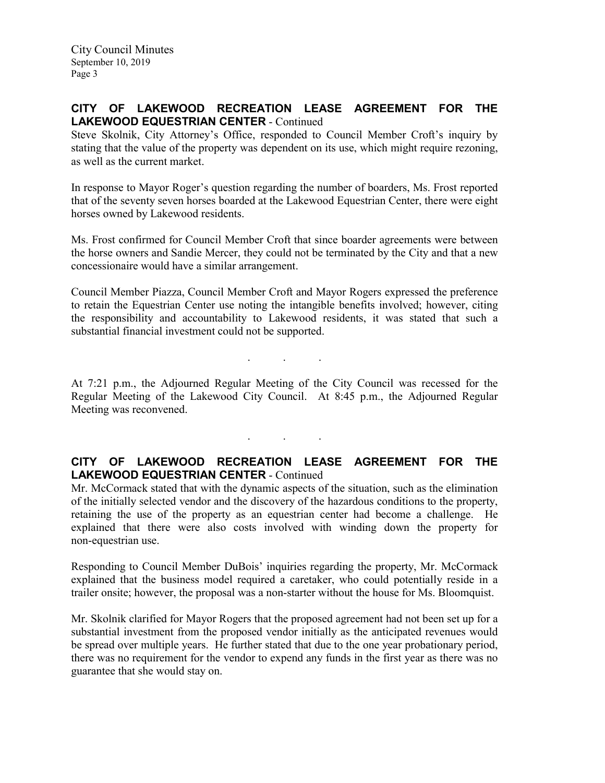Steve Skolnik, City Attorney's Office, responded to Council Member Croft's inquiry by stating that the value of the property was dependent on its use, which might require rezoning, as well as the current market.

In response to Mayor Roger's question regarding the number of boarders, Ms. Frost reported that of the seventy seven horses boarded at the Lakewood Equestrian Center, there were eight horses owned by Lakewood residents.

Ms. Frost confirmed for Council Member Croft that since boarder agreements were between the horse owners and Sandie Mercer, they could not be terminated by the City and that a new concessionaire would have a similar arrangement.

Council Member Piazza, Council Member Croft and Mayor Rogers expressed the preference to retain the Equestrian Center use noting the intangible benefits involved; however, citing the responsibility and accountability to Lakewood residents, it was stated that such a substantial financial investment could not be supported.

. . .

At 7:21 p.m., the Adjourned Regular Meeting of the City Council was recessed for the Regular Meeting of the Lakewood City Council. At 8:45 p.m., the Adjourned Regular Meeting was reconvened.

. . .

## **CITY OF LAKEWOOD RECREATION LEASE AGREEMENT FOR THE LAKEWOOD EQUESTRIAN CENTER** - Continued

Mr. McCormack stated that with the dynamic aspects of the situation, such as the elimination of the initially selected vendor and the discovery of the hazardous conditions to the property, retaining the use of the property as an equestrian center had become a challenge. He explained that there were also costs involved with winding down the property for non-equestrian use.

Responding to Council Member DuBois' inquiries regarding the property, Mr. McCormack explained that the business model required a caretaker, who could potentially reside in a trailer onsite; however, the proposal was a non-starter without the house for Ms. Bloomquist.

Mr. Skolnik clarified for Mayor Rogers that the proposed agreement had not been set up for a substantial investment from the proposed vendor initially as the anticipated revenues would be spread over multiple years. He further stated that due to the one year probationary period, there was no requirement for the vendor to expend any funds in the first year as there was no guarantee that she would stay on.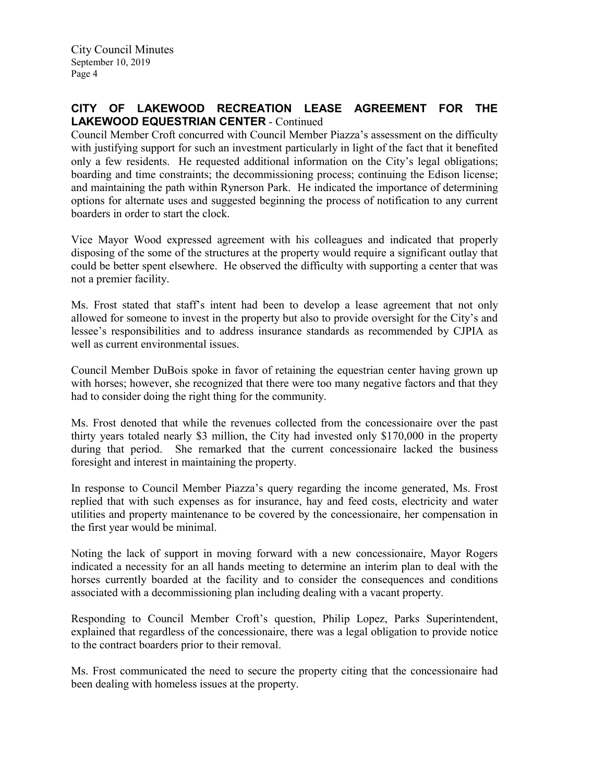Council Member Croft concurred with Council Member Piazza's assessment on the difficulty with justifying support for such an investment particularly in light of the fact that it benefited only a few residents. He requested additional information on the City's legal obligations; boarding and time constraints; the decommissioning process; continuing the Edison license; and maintaining the path within Rynerson Park. He indicated the importance of determining options for alternate uses and suggested beginning the process of notification to any current boarders in order to start the clock.

Vice Mayor Wood expressed agreement with his colleagues and indicated that properly disposing of the some of the structures at the property would require a significant outlay that could be better spent elsewhere. He observed the difficulty with supporting a center that was not a premier facility.

Ms. Frost stated that staff's intent had been to develop a lease agreement that not only allowed for someone to invest in the property but also to provide oversight for the City's and lessee's responsibilities and to address insurance standards as recommended by CJPIA as well as current environmental issues.

Council Member DuBois spoke in favor of retaining the equestrian center having grown up with horses; however, she recognized that there were too many negative factors and that they had to consider doing the right thing for the community.

Ms. Frost denoted that while the revenues collected from the concessionaire over the past thirty years totaled nearly \$3 million, the City had invested only \$170,000 in the property during that period. She remarked that the current concessionaire lacked the business foresight and interest in maintaining the property.

In response to Council Member Piazza's query regarding the income generated, Ms. Frost replied that with such expenses as for insurance, hay and feed costs, electricity and water utilities and property maintenance to be covered by the concessionaire, her compensation in the first year would be minimal.

Noting the lack of support in moving forward with a new concessionaire, Mayor Rogers indicated a necessity for an all hands meeting to determine an interim plan to deal with the horses currently boarded at the facility and to consider the consequences and conditions associated with a decommissioning plan including dealing with a vacant property.

Responding to Council Member Croft's question, Philip Lopez, Parks Superintendent, explained that regardless of the concessionaire, there was a legal obligation to provide notice to the contract boarders prior to their removal.

Ms. Frost communicated the need to secure the property citing that the concessionaire had been dealing with homeless issues at the property.